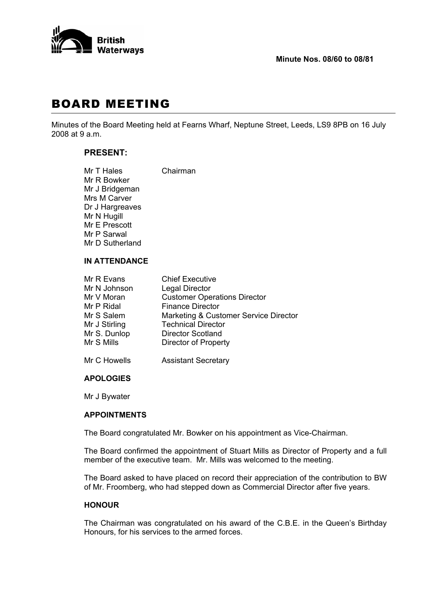

# BOARD MEETING

Minutes of the Board Meeting held at Fearns Wharf, Neptune Street, Leeds, LS9 8PB on 16 July 2008 at 9 a.m.

# **PRESENT:**

| Mr T Hales      | Chairman |
|-----------------|----------|
| Mr R Bowker     |          |
| Mr J Bridgeman  |          |
| Mrs M Carver    |          |
| Dr J Hargreaves |          |
| Mr N Hugill     |          |
| Mr E Prescott   |          |
| Mr P Sarwal     |          |
| Mr D Sutherland |          |
|                 |          |

#### **IN ATTENDANCE**

| Mr R Evans    | <b>Chief Executive</b>                |
|---------------|---------------------------------------|
| Mr N Johnson  | <b>Legal Director</b>                 |
| Mr V Moran    | <b>Customer Operations Director</b>   |
| Mr P Ridal    | <b>Finance Director</b>               |
| Mr S Salem    | Marketing & Customer Service Director |
| Mr J Stirling | <b>Technical Director</b>             |
| Mr S. Dunlop  | <b>Director Scotland</b>              |
| Mr S Mills    | <b>Director of Property</b>           |
|               |                                       |

Mr C Howells **Assistant Secretary** 

# **APOLOGIES**

Mr J Bywater

#### **APPOINTMENTS**

The Board congratulated Mr. Bowker on his appointment as Vice-Chairman.

 The Board confirmed the appointment of Stuart Mills as Director of Property and a full member of the executive team. Mr. Mills was welcomed to the meeting.

 The Board asked to have placed on record their appreciation of the contribution to BW of Mr. Froomberg, who had stepped down as Commercial Director after five years.

# **HONOUR**

 The Chairman was congratulated on his award of the C.B.E. in the Queen's Birthday Honours, for his services to the armed forces.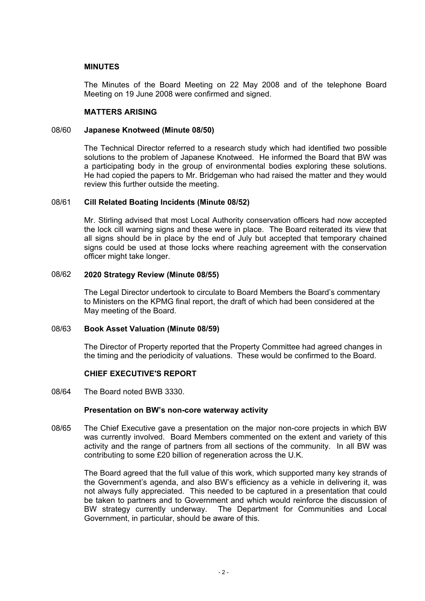## **MINUTES**

 The Minutes of the Board Meeting on 22 May 2008 and of the telephone Board Meeting on 19 June 2008 were confirmed and signed.

## **MATTERS ARISING**

#### 08/60 **Japanese Knotweed (Minute 08/50)**

 The Technical Director referred to a research study which had identified two possible solutions to the problem of Japanese Knotweed. He informed the Board that BW was a participating body in the group of environmental bodies exploring these solutions. He had copied the papers to Mr. Bridgeman who had raised the matter and they would review this further outside the meeting.

## 08/61 **Cill Related Boating Incidents (Minute 08/52)**

 Mr. Stirling advised that most Local Authority conservation officers had now accepted the lock cill warning signs and these were in place. The Board reiterated its view that all signs should be in place by the end of July but accepted that temporary chained signs could be used at those locks where reaching agreement with the conservation officer might take longer.

## 08/62 **2020 Strategy Review (Minute 08/55)**

 The Legal Director undertook to circulate to Board Members the Board's commentary to Ministers on the KPMG final report, the draft of which had been considered at the May meeting of the Board.

#### 08/63 **Book Asset Valuation (Minute 08/59)**

 The Director of Property reported that the Property Committee had agreed changes in the timing and the periodicity of valuations. These would be confirmed to the Board.

# **CHIEF EXECUTIVE'S REPORT**

08/64 The Board noted BWB 3330.

#### **Presentation on BW's non-core waterway activity**

08/65 The Chief Executive gave a presentation on the major non-core projects in which BW was currently involved. Board Members commented on the extent and variety of this activity and the range of partners from all sections of the community. In all BW was contributing to some £20 billion of regeneration across the U.K.

 The Board agreed that the full value of this work, which supported many key strands of the Government's agenda, and also BW's efficiency as a vehicle in delivering it, was not always fully appreciated. This needed to be captured in a presentation that could be taken to partners and to Government and which would reinforce the discussion of BW strategy currently underway. The Department for Communities and Local Government, in particular, should be aware of this.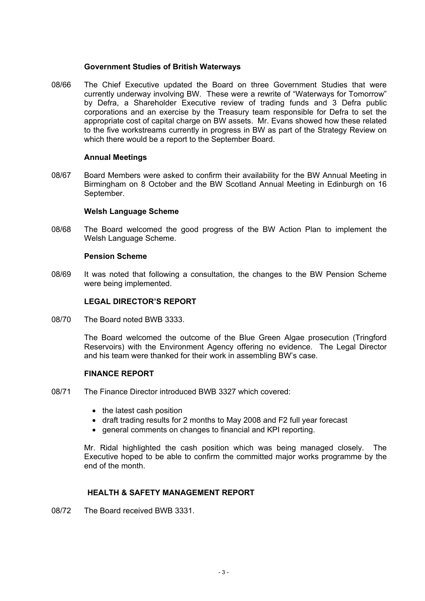#### **Government Studies of British Waterways**

08/66 The Chief Executive updated the Board on three Government Studies that were currently underway involving BW. These were a rewrite of "Waterways for Tomorrow" by Defra, a Shareholder Executive review of trading funds and 3 Defra public corporations and an exercise by the Treasury team responsible for Defra to set the appropriate cost of capital charge on BW assets. Mr. Evans showed how these related to the five workstreams currently in progress in BW as part of the Strategy Review on which there would be a report to the September Board.

## **Annual Meetings**

08/67 Board Members were asked to confirm their availability for the BW Annual Meeting in Birmingham on 8 October and the BW Scotland Annual Meeting in Edinburgh on 16 September.

# **Welsh Language Scheme**

08/68 The Board welcomed the good progress of the BW Action Plan to implement the Welsh Language Scheme.

## **Pension Scheme**

08/69 It was noted that following a consultation, the changes to the BW Pension Scheme were being implemented.

# **LEGAL DIRECTOR'S REPORT**

08/70 The Board noted BWB 3333.

 The Board welcomed the outcome of the Blue Green Algae prosecution (Tringford Reservoirs) with the Environment Agency offering no evidence. The Legal Director and his team were thanked for their work in assembling BW's case.

## **FINANCE REPORT**

- 08/71 The Finance Director introduced BWB 3327 which covered:
	- the latest cash position
	- draft trading results for 2 months to May 2008 and F2 full year forecast
	- general comments on changes to financial and KPI reporting.

 Mr. Ridal highlighted the cash position which was being managed closely. The Executive hoped to be able to confirm the committed major works programme by the end of the month.

# **HEALTH & SAFETY MANAGEMENT REPORT**

08/72 The Board received BWB 3331.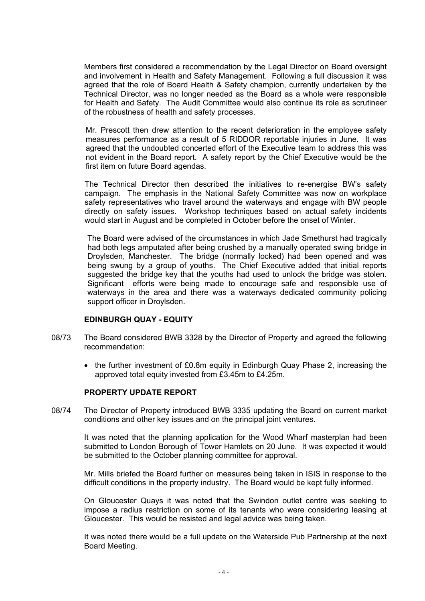Members first considered a recommendation by the Legal Director on Board oversight and involvement in Health and Safety Management. Following a full discussion it was agreed that the role of Board Health & Safety champion, currently undertaken by the Technical Director, was no longer needed as the Board as a whole were responsible for Health and Safety. The Audit Committee would also continue its role as scrutineer of the robustness of health and safety processes.

 Mr. Prescott then drew attention to the recent deterioration in the employee safety measures performance as a result of 5 RIDDOR reportable injuries in June. It was agreed that the undoubted concerted effort of the Executive team to address this was not evident in the Board report. A safety report by the Chief Executive would be the first item on future Board agendas.

 The Technical Director then described the initiatives to re-energise BW's safety campaign. The emphasis in the National Safety Committee was now on workplace safety representatives who travel around the waterways and engage with BW people directly on safety issues. Workshop techniques based on actual safety incidents would start in August and be completed in October before the onset of Winter.

 The Board were advised of the circumstances in which Jade Smethurst had tragically had both legs amputated after being crushed by a manually operated swing bridge in Droylsden, Manchester. The bridge (normally locked) had been opened and was being swung by a group of youths. The Chief Executive added that initial reports suggested the bridge key that the youths had used to unlock the bridge was stolen. Significant efforts were being made to encourage safe and responsible use of waterways in the area and there was a waterways dedicated community policing support officer in Droylsden.

#### **EDINBURGH QUAY - EQUITY**

- 08/73 The Board considered BWB 3328 by the Director of Property and agreed the following recommendation:
	- the further investment of £0.8m equity in Edinburgh Quay Phase 2, increasing the approved total equity invested from £3.45m to £4.25m.

#### **PROPERTY UPDATE REPORT**

08/74 The Director of Property introduced BWB 3335 updating the Board on current market conditions and other key issues and on the principal joint ventures.

 It was noted that the planning application for the Wood Wharf masterplan had been submitted to London Borough of Tower Hamlets on 20 June. It was expected it would be submitted to the October planning committee for approval.

 Mr. Mills briefed the Board further on measures being taken in ISIS in response to the difficult conditions in the property industry. The Board would be kept fully informed.

 On Gloucester Quays it was noted that the Swindon outlet centre was seeking to impose a radius restriction on some of its tenants who were considering leasing at Gloucester. This would be resisted and legal advice was being taken.

 It was noted there would be a full update on the Waterside Pub Partnership at the next Board Meeting.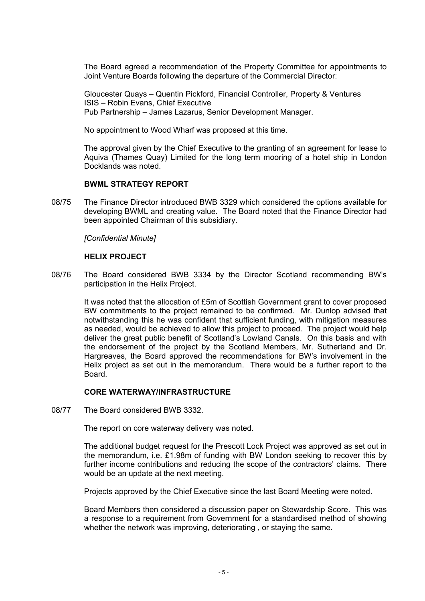The Board agreed a recommendation of the Property Committee for appointments to Joint Venture Boards following the departure of the Commercial Director:

 Gloucester Quays – Quentin Pickford, Financial Controller, Property & Ventures ISIS – Robin Evans, Chief Executive Pub Partnership – James Lazarus, Senior Development Manager.

No appointment to Wood Wharf was proposed at this time.

 The approval given by the Chief Executive to the granting of an agreement for lease to Aquiva (Thames Quay) Limited for the long term mooring of a hotel ship in London Docklands was noted.

# **BWML STRATEGY REPORT**

08/75 The Finance Director introduced BWB 3329 which considered the options available for developing BWML and creating value. The Board noted that the Finance Director had been appointed Chairman of this subsidiary.

*[Confidential Minute]* 

## **HELIX PROJECT**

08/76 The Board considered BWB 3334 by the Director Scotland recommending BW's participation in the Helix Project.

 It was noted that the allocation of £5m of Scottish Government grant to cover proposed BW commitments to the project remained to be confirmed. Mr. Dunlop advised that notwithstanding this he was confident that sufficient funding, with mitigation measures as needed, would be achieved to allow this project to proceed. The project would help deliver the great public benefit of Scotland's Lowland Canals. On this basis and with the endorsement of the project by the Scotland Members, Mr. Sutherland and Dr. Hargreaves, the Board approved the recommendations for BW's involvement in the Helix project as set out in the memorandum. There would be a further report to the Board.

# **CORE WATERWAY/INFRASTRUCTURE**

08/77 The Board considered BWB 3332.

The report on core waterway delivery was noted.

 The additional budget request for the Prescott Lock Project was approved as set out in the memorandum, i.e. £1.98m of funding with BW London seeking to recover this by further income contributions and reducing the scope of the contractors' claims. There would be an update at the next meeting.

Projects approved by the Chief Executive since the last Board Meeting were noted.

 Board Members then considered a discussion paper on Stewardship Score. This was a response to a requirement from Government for a standardised method of showing whether the network was improving, deteriorating , or staying the same.